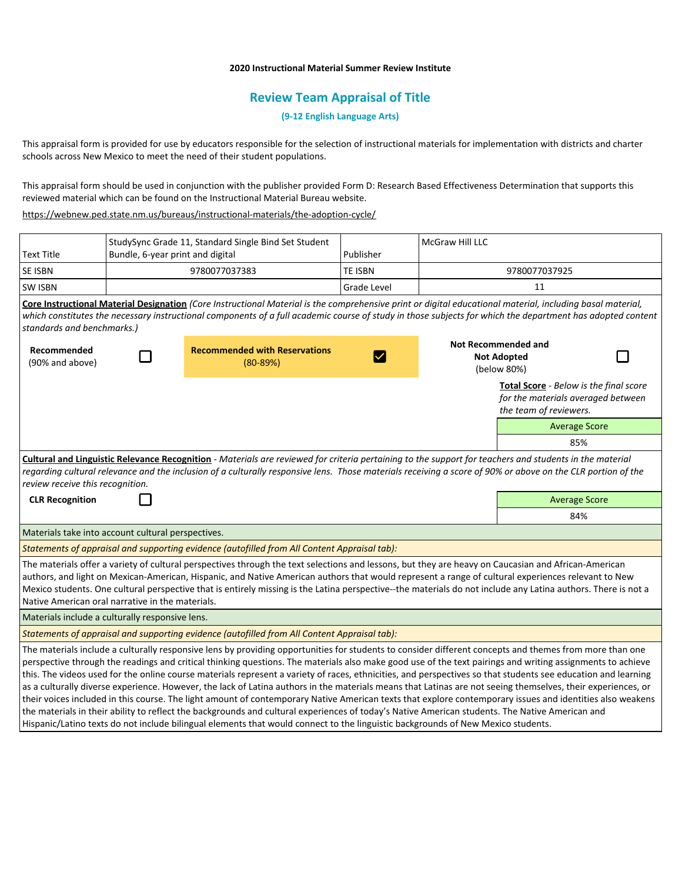## **2020 Instructional Material Summer Review Institute**

## **Review Team Appraisal of Title**

**(9-12 English Language Arts)**

This appraisal form is provided for use by educators responsible for the selection of instructional materials for implementation with districts and charter schools across New Mexico to meet the need of their student populations.

This appraisal form should be used in conjunction with the publisher provided Form D: Research Based Effectiveness Determination that supports this reviewed material which can be found on the Instructional Material Bureau website.

<https://webnew.ped.state.nm.us/bureaus/instructional-materials/the-adoption-cycle/>

|                                                                                                                                                                                                                                                                                                              |                                  | StudySync Grade 11, Standard Single Bind Set Student |                    | McGraw Hill LLC    |                            |                      |  |
|--------------------------------------------------------------------------------------------------------------------------------------------------------------------------------------------------------------------------------------------------------------------------------------------------------------|----------------------------------|------------------------------------------------------|--------------------|--------------------|----------------------------|----------------------|--|
| <b>Text Title</b>                                                                                                                                                                                                                                                                                            | Bundle, 6-year print and digital |                                                      | Publisher          |                    |                            |                      |  |
| SE ISBN                                                                                                                                                                                                                                                                                                      | 9780077037383                    |                                                      | TE ISBN            |                    | 9780077037925              |                      |  |
| <b>SW ISBN</b>                                                                                                                                                                                                                                                                                               |                                  |                                                      | <b>Grade Level</b> |                    | 11                         |                      |  |
| Core Instructional Material Designation (Core Instructional Material is the comprehensive print or digital educational material, including basal material,                                                                                                                                                   |                                  |                                                      |                    |                    |                            |                      |  |
| which constitutes the necessary instructional components of a full academic course of study in those subjects for which the department has adopted content                                                                                                                                                   |                                  |                                                      |                    |                    |                            |                      |  |
| standards and benchmarks.)                                                                                                                                                                                                                                                                                   |                                  |                                                      |                    |                    |                            |                      |  |
| Recommended                                                                                                                                                                                                                                                                                                  |                                  | <b>Recommended with Reservations</b>                 |                    |                    | <b>Not Recommended and</b> |                      |  |
| (90% and above)                                                                                                                                                                                                                                                                                              |                                  | $(80-89%)$                                           |                    | <b>Not Adopted</b> |                            |                      |  |
|                                                                                                                                                                                                                                                                                                              |                                  |                                                      |                    |                    | (below 80%)                |                      |  |
| Total Score - Below is the final score                                                                                                                                                                                                                                                                       |                                  |                                                      |                    |                    |                            |                      |  |
| for the materials averaged between                                                                                                                                                                                                                                                                           |                                  |                                                      |                    |                    |                            |                      |  |
|                                                                                                                                                                                                                                                                                                              |                                  |                                                      |                    |                    | the team of reviewers.     |                      |  |
|                                                                                                                                                                                                                                                                                                              |                                  |                                                      |                    |                    |                            | <b>Average Score</b> |  |
|                                                                                                                                                                                                                                                                                                              |                                  |                                                      |                    |                    |                            | 85%                  |  |
| Cultural and Linguistic Relevance Recognition - Materials are reviewed for criteria pertaining to the support for teachers and students in the material                                                                                                                                                      |                                  |                                                      |                    |                    |                            |                      |  |
| regarding cultural relevance and the inclusion of a culturally responsive lens. Those materials receiving a score of 90% or above on the CLR portion of the                                                                                                                                                  |                                  |                                                      |                    |                    |                            |                      |  |
| review receive this recognition.                                                                                                                                                                                                                                                                             |                                  |                                                      |                    |                    |                            |                      |  |
| <b>CLR Recognition</b>                                                                                                                                                                                                                                                                                       |                                  |                                                      |                    |                    | <b>Average Score</b>       |                      |  |
|                                                                                                                                                                                                                                                                                                              |                                  |                                                      |                    |                    | 84%                        |                      |  |
| Materials take into account cultural perspectives.                                                                                                                                                                                                                                                           |                                  |                                                      |                    |                    |                            |                      |  |
| Statements of appraisal and supporting evidence (autofilled from All Content Appraisal tab):                                                                                                                                                                                                                 |                                  |                                                      |                    |                    |                            |                      |  |
| The materials offer a variety of cultural perspectives through the text selections and lessons, but they are heavy on Caucasian and African-American                                                                                                                                                         |                                  |                                                      |                    |                    |                            |                      |  |
| authors, and light on Mexican-American, Hispanic, and Native American authors that would represent a range of cultural experiences relevant to New                                                                                                                                                           |                                  |                                                      |                    |                    |                            |                      |  |
| Mexico students. One cultural perspective that is entirely missing is the Latina perspective--the materials do not include any Latina authors. There is not a                                                                                                                                                |                                  |                                                      |                    |                    |                            |                      |  |
| Native American oral narrative in the materials.                                                                                                                                                                                                                                                             |                                  |                                                      |                    |                    |                            |                      |  |
| Materials include a culturally responsive lens.                                                                                                                                                                                                                                                              |                                  |                                                      |                    |                    |                            |                      |  |
| Statements of appraisal and supporting evidence (autofilled from All Content Appraisal tab):                                                                                                                                                                                                                 |                                  |                                                      |                    |                    |                            |                      |  |
| The materials include a culturally responsive lens by providing opportunities for students to consider different concepts and themes from more than one                                                                                                                                                      |                                  |                                                      |                    |                    |                            |                      |  |
| perspective through the readings and critical thinking questions. The materials also make good use of the text pairings and writing assignments to achieve                                                                                                                                                   |                                  |                                                      |                    |                    |                            |                      |  |
| this. The videos used for the online course materials represent a variety of races, ethnicities, and perspectives so that students see education and learning                                                                                                                                                |                                  |                                                      |                    |                    |                            |                      |  |
| as a culturally diverse experience. However, the lack of Latina authors in the materials means that Latinas are not seeing themselves, their experiences, or                                                                                                                                                 |                                  |                                                      |                    |                    |                            |                      |  |
| their voices included in this course. The light amount of contemporary Native American texts that explore contemporary issues and identities also weakens<br>the materials in their ability to reflect the backgrounds and cultural experiences of today's Native American students. The Native American and |                                  |                                                      |                    |                    |                            |                      |  |
| Hispanic/Latino texts do not include bilingual elements that would connect to the linguistic backgrounds of New Mexico students.                                                                                                                                                                             |                                  |                                                      |                    |                    |                            |                      |  |
|                                                                                                                                                                                                                                                                                                              |                                  |                                                      |                    |                    |                            |                      |  |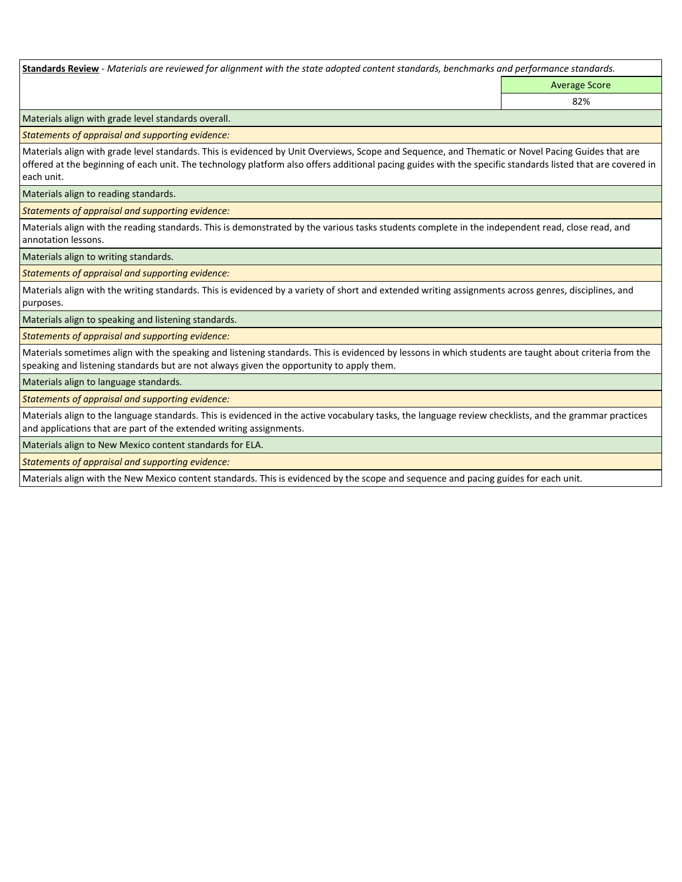**Standards Review** *- Materials are reviewed for alignment with the state adopted content standards, benchmarks and performance standards.*

Average Score 82%

Materials align with grade level standards overall.

*Statements of appraisal and supporting evidence:* 

Materials align with grade level standards. This is evidenced by Unit Overviews, Scope and Sequence, and Thematic or Novel Pacing Guides that are offered at the beginning of each unit. The technology platform also offers additional pacing guides with the specific standards listed that are covered in each unit.

Materials align to reading standards.

*Statements of appraisal and supporting evidence:* 

Materials align with the reading standards. This is demonstrated by the various tasks students complete in the independent read, close read, and annotation lessons.

Materials align to writing standards.

*Statements of appraisal and supporting evidence:* 

Materials align with the writing standards. This is evidenced by a variety of short and extended writing assignments across genres, disciplines, and purposes.

Materials align to speaking and listening standards.

*Statements of appraisal and supporting evidence:* 

Materials sometimes align with the speaking and listening standards. This is evidenced by lessons in which students are taught about criteria from the speaking and listening standards but are not always given the opportunity to apply them.

Materials align to language standards.

*Statements of appraisal and supporting evidence:* 

Materials align to the language standards. This is evidenced in the active vocabulary tasks, the language review checklists, and the grammar practices and applications that are part of the extended writing assignments.

Materials align to New Mexico content standards for ELA.

*Statements of appraisal and supporting evidence:* 

Materials align with the New Mexico content standards. This is evidenced by the scope and sequence and pacing guides for each unit.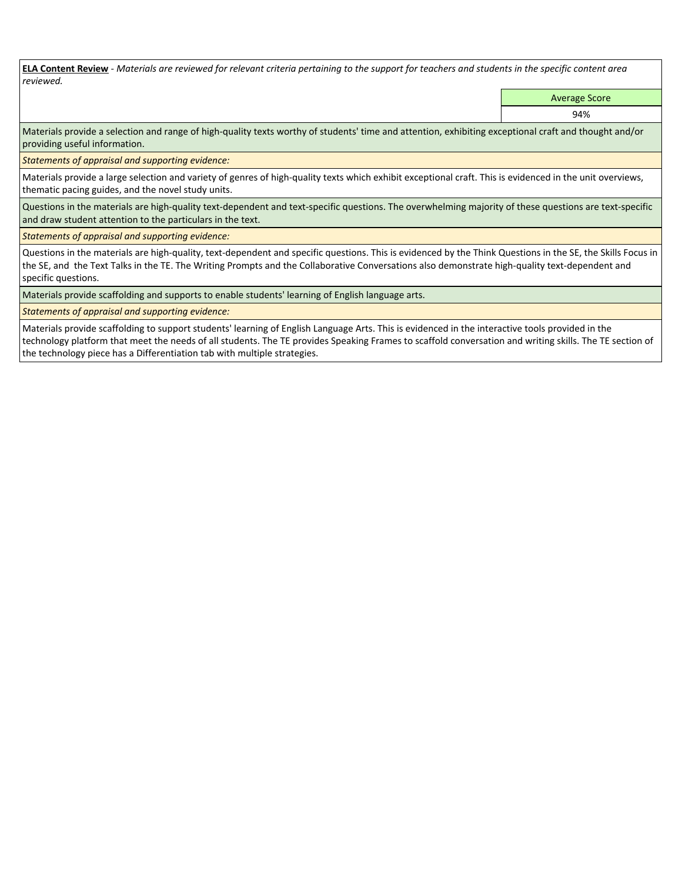**ELA Content Review** *- Materials are reviewed for relevant criteria pertaining to the support for teachers and students in the specific content area reviewed.*

Average Score

94%

Materials provide a selection and range of high-quality texts worthy of students' time and attention, exhibiting exceptional craft and thought and/or providing useful information.

*Statements of appraisal and supporting evidence:* 

Materials provide a large selection and variety of genres of high-quality texts which exhibit exceptional craft. This is evidenced in the unit overviews, thematic pacing guides, and the novel study units.

Questions in the materials are high-quality text-dependent and text-specific questions. The overwhelming majority of these questions are text-specific and draw student attention to the particulars in the text.

*Statements of appraisal and supporting evidence:* 

Questions in the materials are high-quality, text-dependent and specific questions. This is evidenced by the Think Questions in the SE, the Skills Focus in the SE, and the Text Talks in the TE. The Writing Prompts and the Collaborative Conversations also demonstrate high-quality text-dependent and specific questions.

Materials provide scaffolding and supports to enable students' learning of English language arts.

*Statements of appraisal and supporting evidence:* 

Materials provide scaffolding to support students' learning of English Language Arts. This is evidenced in the interactive tools provided in the technology platform that meet the needs of all students. The TE provides Speaking Frames to scaffold conversation and writing skills. The TE section of the technology piece has a Differentiation tab with multiple strategies.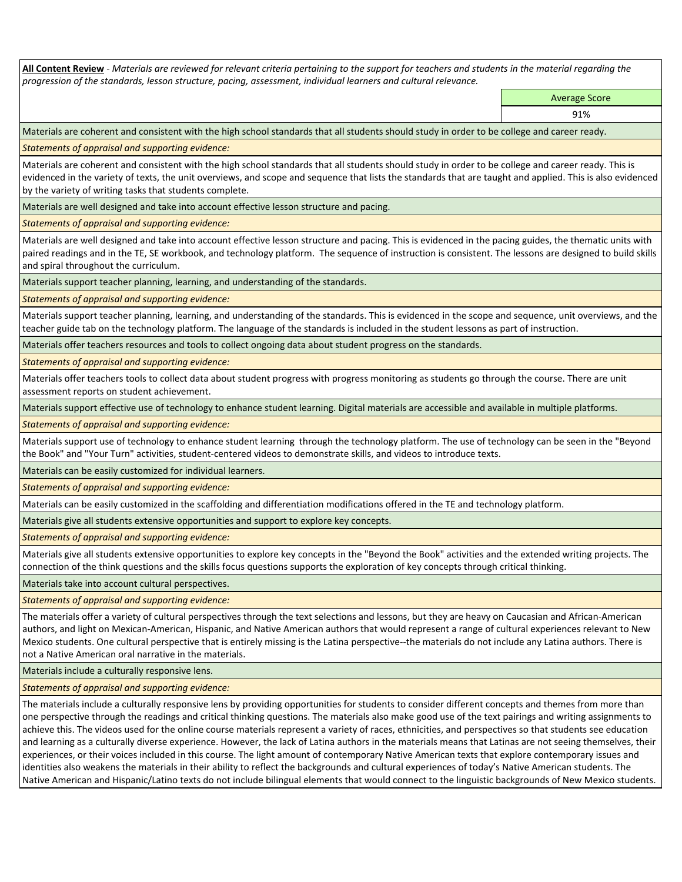**All Content Review** *- Materials are reviewed for relevant criteria pertaining to the support for teachers and students in the material regarding the progression of the standards, lesson structure, pacing, assessment, individual learners and cultural relevance.*

Average Score

91%

Materials are coherent and consistent with the high school standards that all students should study in order to be college and career ready.

*Statements of appraisal and supporting evidence:*

Materials are coherent and consistent with the high school standards that all students should study in order to be college and career ready. This is evidenced in the variety of texts, the unit overviews, and scope and sequence that lists the standards that are taught and applied. This is also evidenced by the variety of writing tasks that students complete.

Materials are well designed and take into account effective lesson structure and pacing.

*Statements of appraisal and supporting evidence:*

Materials are well designed and take into account effective lesson structure and pacing. This is evidenced in the pacing guides, the thematic units with paired readings and in the TE, SE workbook, and technology platform. The sequence of instruction is consistent. The lessons are designed to build skills and spiral throughout the curriculum.

Materials support teacher planning, learning, and understanding of the standards.

*Statements of appraisal and supporting evidence:*

Materials support teacher planning, learning, and understanding of the standards. This is evidenced in the scope and sequence, unit overviews, and the teacher guide tab on the technology platform. The language of the standards is included in the student lessons as part of instruction.

Materials offer teachers resources and tools to collect ongoing data about student progress on the standards.

*Statements of appraisal and supporting evidence:*

Materials offer teachers tools to collect data about student progress with progress monitoring as students go through the course. There are unit assessment reports on student achievement.

Materials support effective use of technology to enhance student learning. Digital materials are accessible and available in multiple platforms.

*Statements of appraisal and supporting evidence:*

Materials support use of technology to enhance student learning through the technology platform. The use of technology can be seen in the "Beyond the Book" and "Your Turn" activities, student-centered videos to demonstrate skills, and videos to introduce texts.

Materials can be easily customized for individual learners.

*Statements of appraisal and supporting evidence:* 

Materials can be easily customized in the scaffolding and differentiation modifications offered in the TE and technology platform.

Materials give all students extensive opportunities and support to explore key concepts.

*Statements of appraisal and supporting evidence:*

Materials give all students extensive opportunities to explore key concepts in the "Beyond the Book" activities and the extended writing projects. The connection of the think questions and the skills focus questions supports the exploration of key concepts through critical thinking.

Materials take into account cultural perspectives.

*Statements of appraisal and supporting evidence:*

The materials offer a variety of cultural perspectives through the text selections and lessons, but they are heavy on Caucasian and African-American authors, and light on Mexican-American, Hispanic, and Native American authors that would represent a range of cultural experiences relevant to New Mexico students. One cultural perspective that is entirely missing is the Latina perspective--the materials do not include any Latina authors. There is not a Native American oral narrative in the materials.

Materials include a culturally responsive lens.

*Statements of appraisal and supporting evidence:*

The materials include a culturally responsive lens by providing opportunities for students to consider different concepts and themes from more than one perspective through the readings and critical thinking questions. The materials also make good use of the text pairings and writing assignments to achieve this. The videos used for the online course materials represent a variety of races, ethnicities, and perspectives so that students see education and learning as a culturally diverse experience. However, the lack of Latina authors in the materials means that Latinas are not seeing themselves, their experiences, or their voices included in this course. The light amount of contemporary Native American texts that explore contemporary issues and identities also weakens the materials in their ability to reflect the backgrounds and cultural experiences of today's Native American students. The Native American and Hispanic/Latino texts do not include bilingual elements that would connect to the linguistic backgrounds of New Mexico students.